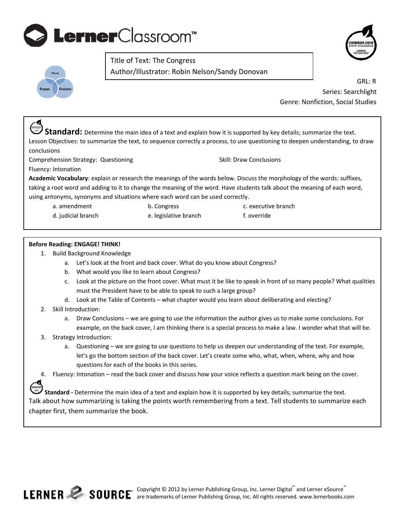## **Lerner**Classroom<sup>®</sup>





 $\mathbf{r}$ 

**Author/Illustrator: Robin Nelson/Sandy Donovan** Title of Text: The Congress

> GRL: R Series: Searchlight Genre: Nonfiction, Social Studies

**Standard:** Determine the main idea of a text and explain how it is supported by key details; summarize the text. Lesson Objectives: to summarize the text, to sequence correctly a process, to use questioning to deepen understanding, to draw conclusions

Comprehension Strategy: Questioning **Strategy: Skill: Draw Conclusions** Skill: Draw Conclusions

Fluency: Intonation

**Academic Vocabulary**: explain or research the meanings of the words below. Discuss the morphology of the words: suffixes, taking a root word and adding to it to change the meaning of the word. Have students talk about the meaning of each word, using antonyms, synonyms and situations where each word can be used correctly.

- a. amendment 
and the congress and the constant of the constant in the constant of the constant of the constant of the constant of the constant of the constant of the constant of the constant of the constant of the constan
	-
- d. judicial branch 
and the section of e. legislative branch and the section of the section of the section of the section of the section of the section of the section of the section of the section of the section of the sec

## **Before Reading: ENGAGE! THINK!**

- 1. Build Background Knowledge
	- a. Let's look at the front and back cover. What do you know about Congress?
	- b. What would you like to learn about Congress?
	- c. Look at the picture on the front cover. What must it be like to speak in front of so many people? What qualities must the President have to be able to speak to such a large group?
	- d. Look at the Table of Contents what chapter would you learn about deliberating and electing?
- 2. Skill Introduction:
	- a. Draw Conclusions we are going to use the information the author gives us to make some conclusions. For example, on the back cover, I am thinking there is a special process to make a law. I wonder what that will be.
- 3. Strategy Introduction:
	- a. Questioning we are going to use questions to help us deepen our understanding of the text. For example, let's go the bottom section of the back cover. Let's create some who, what, when, where, why and how questions for each of the books in this series.
- 4. Fluency: Intonation read the back cover and discuss how your voice reflects a question mark being on the cover.

**Standard** - Determine the main idea of a text and explain how it is supported by key details; summarize the text. Talk about how summarizing is taking the points worth remembering from a text. Tell students to summarize each chapter first, them summarize the book.